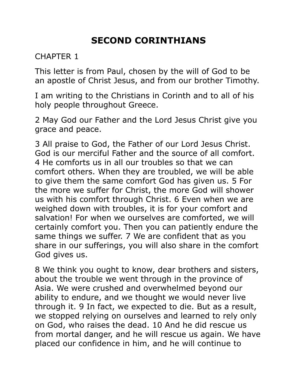# **SECOND CORINTHIANS**

### CHAPTER 1

This letter is from Paul, chosen by the will of God to be an apostle of Christ Jesus, and from our brother Timothy.

I am writing to the Christians in Corinth and to all of his holy people throughout Greece.

2 May God our Father and the Lord Jesus Christ give you grace and peace.

3 All praise to God, the Father of our Lord Jesus Christ. God is our merciful Father and the source of all comfort. 4 He comforts us in all our troubles so that we can comfort others. When they are troubled, we will be able to give them the same comfort God has given us. 5 For the more we suffer for Christ, the more God will shower us with his comfort through Christ. 6 Even when we are weighed down with troubles, it is for your comfort and salvation! For when we ourselves are comforted, we will certainly comfort you. Then you can patiently endure the same things we suffer. 7 We are confident that as you share in our sufferings, you will also share in the comfort God gives us.

8 We think you ought to know, dear brothers and sisters, about the trouble we went through in the province of Asia. We were crushed and overwhelmed beyond our ability to endure, and we thought we would never live through it. 9 In fact, we expected to die. But as a result, we stopped relying on ourselves and learned to rely only on God, who raises the dead. 10 And he did rescue us from mortal danger, and he will rescue us again. We have placed our confidence in him, and he will continue to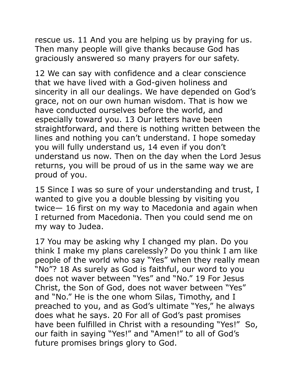rescue us. 11 And you are helping us by praying for us. Then many people will give thanks because God has graciously answered so many prayers for our safety.

12 We can say with confidence and a clear conscience that we have lived with a God-given holiness and sincerity in all our dealings. We have depended on God's grace, not on our own human wisdom. That is how we have conducted ourselves before the world, and especially toward you. 13 Our letters have been straightforward, and there is nothing written between the lines and nothing you can't understand. I hope someday you will fully understand us, 14 even if you don't understand us now. Then on the day when the Lord Jesus returns, you will be proud of us in the same way we are proud of you.

15 Since I was so sure of your understanding and trust, I wanted to give you a double blessing by visiting you twice— 16 first on my way to Macedonia and again when I returned from Macedonia. Then you could send me on my way to Judea.

17 You may be asking why I changed my plan. Do you think I make my plans carelessly? Do you think I am like people of the world who say "Yes" when they really mean "No"? 18 As surely as God is faithful, our word to you does not waver between "Yes" and "No." 19 For Jesus Christ, the Son of God, does not waver between "Yes" and "No." He is the one whom Silas, Timothy, and I preached to you, and as God's ultimate "Yes," he always does what he says. 20 For all of God's past promises have been fulfilled in Christ with a resounding "Yes!" So, our faith in saying "Yes!" and "Amen!" to all of God's future promises brings glory to God.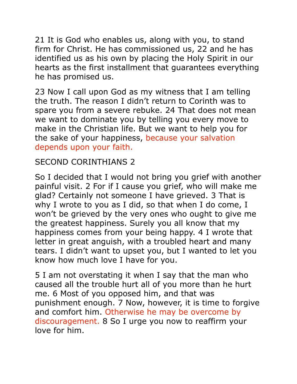21 It is God who enables us, along with you, to stand firm for Christ. He has commissioned us, 22 and he has identified us as his own by placing the Holy Spirit in our hearts as the first installment that guarantees everything he has promised us.

23 Now I call upon God as my witness that I am telling the truth. The reason I didn't return to Corinth was to spare you from a severe rebuke. 24 That does not mean we want to dominate you by telling you every move to make in the Christian life. But we want to help you for the sake of your happiness, because your salvation depends upon your faith.

#### SECOND CORINTHIANS 2

So I decided that I would not bring you grief with another painful visit. 2 For if I cause you grief, who will make me glad? Certainly not someone I have grieved. 3 That is why I wrote to you as I did, so that when I do come, I won't be grieved by the very ones who ought to give me the greatest happiness. Surely you all know that my happiness comes from your being happy. 4 I wrote that letter in great anguish, with a troubled heart and many tears. I didn't want to upset you, but I wanted to let you know how much love I have for you.

5 I am not overstating it when I say that the man who caused all the trouble hurt all of you more than he hurt me. 6 Most of you opposed him, and that was punishment enough. 7 Now, however, it is time to forgive and comfort him. Otherwise he may be overcome by discouragement. 8 So I urge you now to reaffirm your love for him.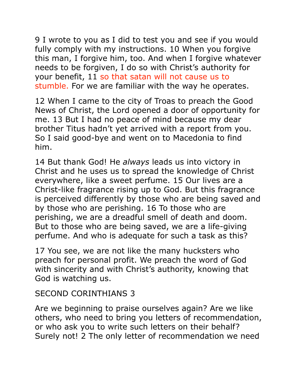9 I wrote to you as I did to test you and see if you would fully comply with my instructions. 10 When you forgive this man, I forgive him, too. And when I forgive whatever needs to be forgiven, I do so with Christ's authority for your benefit, 11 so that satan will not cause us to stumble. For we are familiar with the way he operates.

12 When I came to the city of Troas to preach the Good News of Christ, the Lord opened a door of opportunity for me. 13 But I had no peace of mind because my dear brother Titus hadn't yet arrived with a report from you. So I said good-bye and went on to Macedonia to find him.

14 But thank God! He *always* leads us into victory in Christ and he uses us to spread the knowledge of Christ everywhere, like a sweet perfume. 15 Our lives are a Christ-like fragrance rising up to God. But this fragrance is perceived differently by those who are being saved and by those who are perishing. 16 To those who are perishing, we are a dreadful smell of death and doom. But to those who are being saved, we are a life-giving perfume. And who is adequate for such a task as this?

17 You see, we are not like the many hucksters who preach for personal profit. We preach the word of God with sincerity and with Christ's authority, knowing that God is watching us.

## SECOND CORINTHIANS 3

Are we beginning to praise ourselves again? Are we like others, who need to bring you letters of recommendation, or who ask you to write such letters on their behalf? Surely not! 2 The only letter of recommendation we need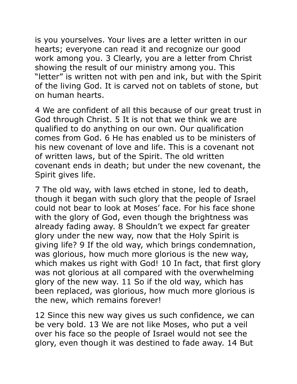is you yourselves. Your lives are a letter written in our hearts; everyone can read it and recognize our good work among you. 3 Clearly, you are a letter from Christ showing the result of our ministry among you. This "letter" is written not with pen and ink, but with the Spirit of the living God. It is carved not on tablets of stone, but on human hearts.

4 We are confident of all this because of our great trust in God through Christ. 5 It is not that we think we are qualified to do anything on our own. Our qualification comes from God. 6 He has enabled us to be ministers of his new covenant of love and life. This is a covenant not of written laws, but of the Spirit. The old written covenant ends in death; but under the new covenant, the Spirit gives life.

7 The old way, with laws etched in stone, led to death, though it began with such glory that the people of Israel could not bear to look at Moses' face. For his face shone with the glory of God, even though the brightness was already fading away. 8 Shouldn't we expect far greater glory under the new way, now that the Holy Spirit is giving life? 9 If the old way, which brings condemnation, was glorious, how much more glorious is the new way, which makes us right with God! 10 In fact, that first glory was not glorious at all compared with the overwhelming glory of the new way. 11 So if the old way, which has been replaced, was glorious, how much more glorious is the new, which remains forever!

12 Since this new way gives us such confidence, we can be very bold. 13 We are not like Moses, who put a veil over his face so the people of Israel would not see the glory, even though it was destined to fade away. 14 But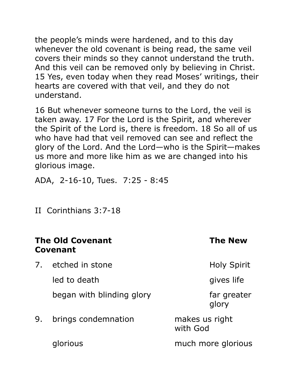the people's minds were hardened, and to this day whenever the old covenant is being read, the same veil covers their minds so they cannot understand the truth. And this veil can be removed only by believing in Christ. 15 Yes, even today when they read Moses' writings, their hearts are covered with that veil, and they do not understand.

16 But whenever someone turns to the Lord, the veil is taken away. 17 For the Lord is the Spirit, and wherever the Spirit of the Lord is, there is freedom. 18 So all of us who have had that veil removed can see and reflect the glory of the Lord. And the Lord—who is the Spirit—makes us more and more like him as we are changed into his glorious image.

ADA, 2-16-10, Tues. 7:25 - 8:45

II Corinthians 3:7-18

### **The Old Covenant The New Covenant**

7. etched in stone The Holy Spirit

led to death and gives life

began with blinding glory **that** far greater

glory in the contract of the contract of the contract of the contract of the contract of the contract of the c

9. brings condemnation makes us right with God

glorious much more glorious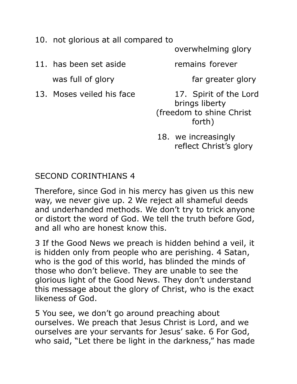- 10. not glorious at all compared to
- 11. has been set aside remains forever was full of glory entitled the state of the far greater glory
- 

overwhelming glory

13. Moses veiled his face **17.** Spirit of the Lord brings liberty (freedom to shine Christ forth)

> 18. we increasingly reflect Christ's glory

#### SECOND CORINTHIANS 4

Therefore, since God in his mercy has given us this new way, we never give up. 2 We reject all shameful deeds and underhanded methods. We don't try to trick anyone or distort the word of God. We tell the truth before God, and all who are honest know this.

3 If the Good News we preach is hidden behind a veil, it is hidden only from people who are perishing. 4 Satan, who is the god of this world, has blinded the minds of those who don't believe. They are unable to see the glorious light of the Good News. They don't understand this message about the glory of Christ, who is the exact likeness of God.

5 You see, we don't go around preaching about ourselves. We preach that Jesus Christ is Lord, and we ourselves are your servants for Jesus' sake. 6 For God, who said, "Let there be light in the darkness," has made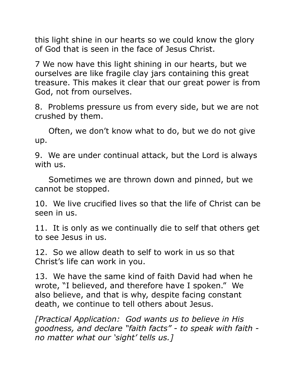this light shine in our hearts so we could know the glory of God that is seen in the face of Jesus Christ.

7 We now have this light shining in our hearts, but we ourselves are like fragile clay jars containing this great treasure. This makes it clear that our great power is from God, not from ourselves.

8. Problems pressure us from every side, but we are not crushed by them.

 Often, we don't know what to do, but we do not give up.

9. We are under continual attack, but the Lord is always with us.

 Sometimes we are thrown down and pinned, but we cannot be stopped.

10. We live crucified lives so that the life of Christ can be seen in us.

11. It is only as we continually die to self that others get to see Jesus in us.

12. So we allow death to self to work in us so that Christ's life can work in you.

13. We have the same kind of faith David had when he wrote, "I believed, and therefore have I spoken." We also believe, and that is why, despite facing constant death, we continue to tell others about Jesus.

*[Practical Application: God wants us to believe in His goodness, and declare "faith facts" - to speak with faith no matter what our 'sight' tells us.]*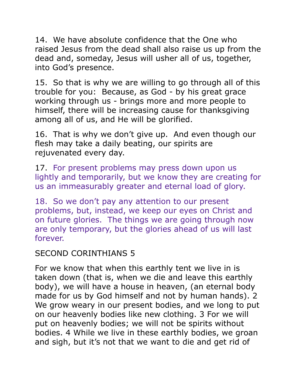14. We have absolute confidence that the One who raised Jesus from the dead shall also raise us up from the dead and, someday, Jesus will usher all of us, together, into God's presence.

15. So that is why we are willing to go through all of this trouble for you: Because, as God - by his great grace working through us - brings more and more people to himself, there will be increasing cause for thanksgiving among all of us, and He will be glorified.

16. That is why we don't give up. And even though our flesh may take a daily beating, our spirits are rejuvenated every day.

17. For present problems may press down upon us lightly and temporarily, but we know they are creating for us an immeasurably greater and eternal load of glory.

18. So we don't pay any attention to our present problems, but, instead, we keep our eyes on Christ and on future glories. The things we are going through now are only temporary, but the glories ahead of us will last forever.

## SECOND CORINTHIANS 5

For we know that when this earthly tent we live in is taken down (that is, when we die and leave this earthly body), we will have a house in heaven, (an eternal body made for us by God himself and not by human hands). 2 We grow weary in our present bodies, and we long to put on our heavenly bodies like new clothing. 3 For we will put on heavenly bodies; we will not be spirits without bodies. 4 While we live in these earthly bodies, we groan and sigh, but it's not that we want to die and get rid of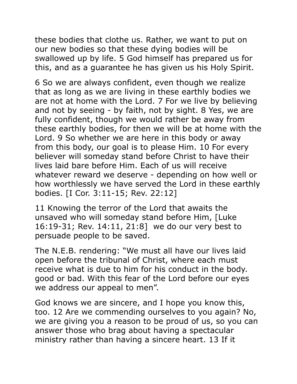these bodies that clothe us. Rather, we want to put on our new bodies so that these dying bodies will be swallowed up by life. 5 God himself has prepared us for this, and as a guarantee he has given us his Holy Spirit.

6 So we are always confident, even though we realize that as long as we are living in these earthly bodies we are not at home with the Lord. 7 For we live by believing and not by seeing - by faith, not by sight. 8 Yes, we are fully confident, though we would rather be away from these earthly bodies, for then we will be at home with the Lord. 9 So whether we are here in this body or away from this body, our goal is to please Him. 10 For every believer will someday stand before Christ to have their lives laid bare before Him. Each of us will receive whatever reward we deserve - depending on how well or how worthlessly we have served the Lord in these earthly bodies. [I Cor. 3:11-15; Rev. 22:12]

11 Knowing the terror of the Lord that awaits the unsaved who will someday stand before Him, [Luke 16:19-31; Rev. 14:11, 21:8] we do our very best to persuade people to be saved.

The N.E.B. rendering: "We must all have our lives laid open before the tribunal of Christ, where each must receive what is due to him for his conduct in the body. good or bad. With this fear of the Lord before our eyes we address our appeal to men".

God knows we are sincere, and I hope you know this, too. 12 Are we commending ourselves to you again? No, we are giving you a reason to be proud of us, so you can answer those who brag about having a spectacular ministry rather than having a sincere heart. 13 If it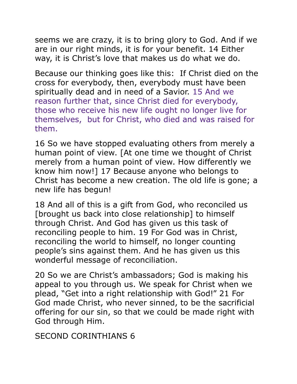seems we are crazy, it is to bring glory to God. And if we are in our right minds, it is for your benefit. 14 Either way, it is Christ's love that makes us do what we do.

Because our thinking goes like this: If Christ died on the cross for everybody, then, everybody must have been spiritually dead and in need of a Savior. 15 And we reason further that, since Christ died for everybody, those who receive his new life ought no longer live for themselves, but for Christ, who died and was raised for them.

16 So we have stopped evaluating others from merely a human point of view. [At one time we thought of Christ merely from a human point of view. How differently we know him now!] 17 Because anyone who belongs to Christ has become a new creation. The old life is gone; a new life has begun!

18 And all of this is a gift from God, who reconciled us [brought us back into close relationship] to himself through Christ. And God has given us this task of reconciling people to him. 19 For God was in Christ, reconciling the world to himself, no longer counting people's sins against them. And he has given us this wonderful message of reconciliation.

20 So we are Christ's ambassadors; God is making his appeal to you through us. We speak for Christ when we plead, "Get into a right relationship with God!" 21 For God made Christ, who never sinned, to be the sacrificial offering for our sin, so that we could be made right with God through Him.

SECOND CORINTHIANS 6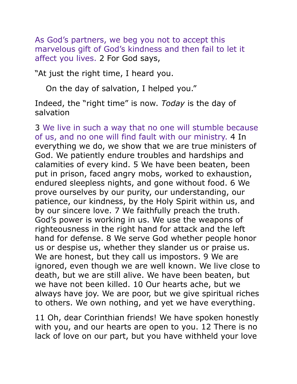As God's partners, we beg you not to accept this marvelous gift of God's kindness and then fail to let it affect you lives. 2 For God says,

"At just the right time, I heard you.

On the day of salvation, I helped you."

Indeed, the "right time" is now. *Today* is the day of salvation

3 We live in such a way that no one will stumble because of us, and no one will find fault with our ministry. 4 In everything we do, we show that we are true ministers of God. We patiently endure troubles and hardships and calamities of every kind. 5 We have been beaten, been put in prison, faced angry mobs, worked to exhaustion, endured sleepless nights, and gone without food. 6 We prove ourselves by our purity, our understanding, our patience, our kindness, by the Holy Spirit within us, and by our sincere love. 7 We faithfully preach the truth. God's power is working in us. We use the weapons of righteousness in the right hand for attack and the left hand for defense. 8 We serve God whether people honor us or despise us, whether they slander us or praise us. We are honest, but they call us impostors. 9 We are ignored, even though we are well known. We live close to death, but we are still alive. We have been beaten, but we have not been killed. 10 Our hearts ache, but we always have joy. We are poor, but we give spiritual riches to others. We own nothing, and yet we have everything.

11 Oh, dear Corinthian friends! We have spoken honestly with you, and our hearts are open to you. 12 There is no lack of love on our part, but you have withheld your love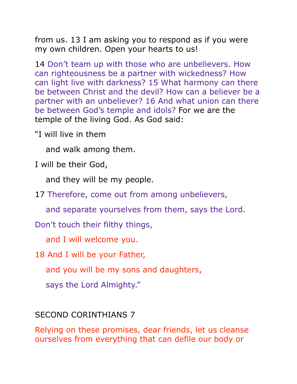from us. 13 I am asking you to respond as if you were my own children. Open your hearts to us!

14 Don't team up with those who are unbelievers. How can righteousness be a partner with wickedness? How can light live with darkness? 15 What harmony can there be between Christ and the devil? How can a believer be a partner with an unbeliever? 16 And what union can there be between God's temple and idols? For we are the temple of the living God. As God said:

"I will live in them

and walk among them.

I will be their God,

and they will be my people.

17 Therefore, come out from among unbelievers,

and separate yourselves from them, says the Lord.

Don't touch their filthy things,

and I will welcome you.

18 And I will be your Father,

and you will be my sons and daughters,

says the Lord Almighty."

### SECOND CORINTHIANS 7

Relying on these promises, dear friends, let us cleanse ourselves from everything that can defile our body or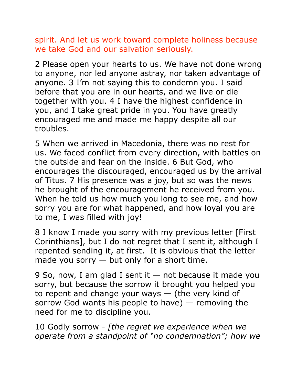spirit. And let us work toward complete holiness because we take God and our salvation seriously.

2 Please open your hearts to us. We have not done wrong to anyone, nor led anyone astray, nor taken advantage of anyone. 3 I'm not saying this to condemn you. I said before that you are in our hearts, and we live or die together with you. 4 I have the highest confidence in you, and I take great pride in you. You have greatly encouraged me and made me happy despite all our troubles.

5 When we arrived in Macedonia, there was no rest for us. We faced conflict from every direction, with battles on the outside and fear on the inside. 6 But God, who encourages the discouraged, encouraged us by the arrival of Titus. 7 His presence was a joy, but so was the news he brought of the encouragement he received from you. When he told us how much you long to see me, and how sorry you are for what happened, and how loyal you are to me, I was filled with joy!

8 I know I made you sorry with my previous letter [First] Corinthians], but I do not regret that I sent it, although I repented sending it, at first. It is obvious that the letter made you sorry  $-$  but only for a short time.

9 So, now, I am glad I sent it  $-$  not because it made you sorry, but because the sorrow it brought you helped you to repent and change your ways — (the very kind of sorrow God wants his people to have) — removing the need for me to discipline you.

10 Godly sorrow - *[the regret we experience when we operate from a standpoint of "no condemnation"; how we*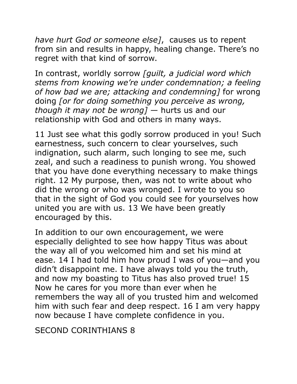*have hurt God or someone else]*, causes us to repent from sin and results in happy, healing change. There's no regret with that kind of sorrow.

In contrast, worldly sorrow *[guilt, a judicial word which stems from knowing we're under condemnation; a feeling of how bad we are; attacking and condemning]* for wrong doing *[or for doing something you perceive as wrong, though it may not be wrong]* — hurts us and our relationship with God and others in many ways.

11 Just see what this godly sorrow produced in you! Such earnestness, such concern to clear yourselves, such indignation, such alarm, such longing to see me, such zeal, and such a readiness to punish wrong. You showed that you have done everything necessary to make things right. 12 My purpose, then, was not to write about who did the wrong or who was wronged. I wrote to you so that in the sight of God you could see for yourselves how united you are with us. 13 We have been greatly encouraged by this.

In addition to our own encouragement, we were especially delighted to see how happy Titus was about the way all of you welcomed him and set his mind at ease. 14 I had told him how proud I was of you—and you didn't disappoint me. I have always told you the truth, and now my boasting to Titus has also proved true! 15 Now he cares for you more than ever when he remembers the way all of you trusted him and welcomed him with such fear and deep respect. 16 I am very happy now because I have complete confidence in you.

SECOND CORINTHIANS 8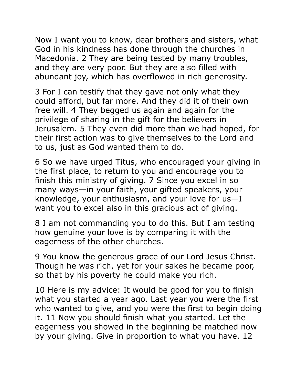Now I want you to know, dear brothers and sisters, what God in his kindness has done through the churches in Macedonia. 2 They are being tested by many troubles, and they are very poor. But they are also filled with abundant joy, which has overflowed in rich generosity.

3 For I can testify that they gave not only what they could afford, but far more. And they did it of their own free will. 4 They begged us again and again for the privilege of sharing in the gift for the believers in Jerusalem. 5 They even did more than we had hoped, for their first action was to give themselves to the Lord and to us, just as God wanted them to do.

6 So we have urged Titus, who encouraged your giving in the first place, to return to you and encourage you to finish this ministry of giving. 7 Since you excel in so many ways—in your faith, your gifted speakers, your knowledge, your enthusiasm, and your love for us—I want you to excel also in this gracious act of giving.

8 I am not commanding you to do this. But I am testing how genuine your love is by comparing it with the eagerness of the other churches.

9 You know the generous grace of our Lord Jesus Christ. Though he was rich, yet for your sakes he became poor, so that by his poverty he could make you rich.

10 Here is my advice: It would be good for you to finish what you started a year ago. Last year you were the first who wanted to give, and you were the first to begin doing it. 11 Now you should finish what you started. Let the eagerness you showed in the beginning be matched now by your giving. Give in proportion to what you have. 12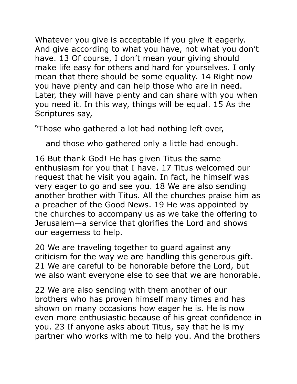Whatever you give is acceptable if you give it eagerly. And give according to what you have, not what you don't have. 13 Of course, I don't mean your giving should make life easy for others and hard for yourselves. I only mean that there should be some equality. 14 Right now you have plenty and can help those who are in need. Later, they will have plenty and can share with you when you need it. In this way, things will be equal. 15 As the Scriptures say,

"Those who gathered a lot had nothing left over,

and those who gathered only a little had enough.

16 But thank God! He has given Titus the same enthusiasm for you that I have. 17 Titus welcomed our request that he visit you again. In fact, he himself was very eager to go and see you. 18 We are also sending another brother with Titus. All the churches praise him as a preacher of the Good News. 19 He was appointed by the churches to accompany us as we take the offering to Jerusalem—a service that glorifies the Lord and shows our eagerness to help.

20 We are traveling together to guard against any criticism for the way we are handling this generous gift. 21 We are careful to be honorable before the Lord, but we also want everyone else to see that we are honorable.

22 We are also sending with them another of our brothers who has proven himself many times and has shown on many occasions how eager he is. He is now even more enthusiastic because of his great confidence in you. 23 If anyone asks about Titus, say that he is my partner who works with me to help you. And the brothers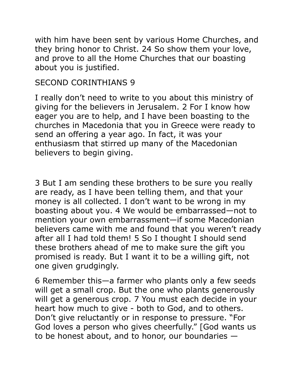with him have been sent by various Home Churches, and they bring honor to Christ. 24 So show them your love, and prove to all the Home Churches that our boasting about you is justified.

### SECOND CORINTHIANS 9

I really don't need to write to you about this ministry of giving for the believers in Jerusalem. 2 For I know how eager you are to help, and I have been boasting to the churches in Macedonia that you in Greece were ready to send an offering a year ago. In fact, it was your enthusiasm that stirred up many of the Macedonian believers to begin giving.

3 But I am sending these brothers to be sure you really are ready, as I have been telling them, and that your money is all collected. I don't want to be wrong in my boasting about you. 4 We would be embarrassed—not to mention your own embarrassment—if some Macedonian believers came with me and found that you weren't ready after all I had told them! 5 So I thought I should send these brothers ahead of me to make sure the gift you promised is ready. But I want it to be a willing gift, not one given grudgingly.

6 Remember this—a farmer who plants only a few seeds will get a small crop. But the one who plants generously will get a generous crop. 7 You must each decide in your heart how much to give - both to God, and to others. Don't give reluctantly or in response to pressure. "For God loves a person who gives cheerfully." [God wants us to be honest about, and to honor, our boundaries —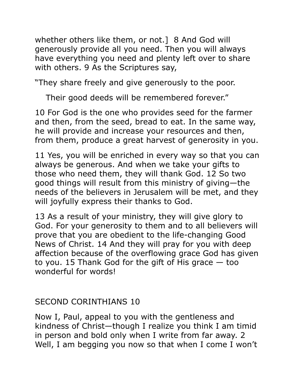whether others like them, or not.] 8 And God will generously provide all you need. Then you will always have everything you need and plenty left over to share with others. 9 As the Scriptures say,

"They share freely and give generously to the poor.

Their good deeds will be remembered forever."

10 For God is the one who provides seed for the farmer and then, from the seed, bread to eat. In the same way, he will provide and increase your resources and then, from them, produce a great harvest of generosity in you.

11 Yes, you will be enriched in every way so that you can always be generous. And when we take your gifts to those who need them, they will thank God. 12 So two good things will result from this ministry of giving—the needs of the believers in Jerusalem will be met, and they will joyfully express their thanks to God.

13 As a result of your ministry, they will give glory to God. For your generosity to them and to all believers will prove that you are obedient to the life-changing Good News of Christ. 14 And they will pray for you with deep affection because of the overflowing grace God has given to you. 15 Thank God for the gift of His grace — too wonderful for words!

## SECOND CORINTHIANS 10

Now I, Paul, appeal to you with the gentleness and kindness of Christ—though I realize you think I am timid in person and bold only when I write from far away. 2 Well, I am begging you now so that when I come I won't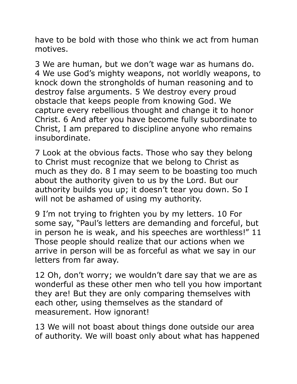have to be bold with those who think we act from human motives.

3 We are human, but we don't wage war as humans do. 4 We use God's mighty weapons, not worldly weapons, to knock down the strongholds of human reasoning and to destroy false arguments. 5 We destroy every proud obstacle that keeps people from knowing God. We capture every rebellious thought and change it to honor Christ. 6 And after you have become fully subordinate to Christ, I am prepared to discipline anyone who remains insubordinate.

7 Look at the obvious facts. Those who say they belong to Christ must recognize that we belong to Christ as much as they do. 8 I may seem to be boasting too much about the authority given to us by the Lord. But our authority builds you up; it doesn't tear you down. So I will not be ashamed of using my authority.

9 I'm not trying to frighten you by my letters. 10 For some say, "Paul's letters are demanding and forceful, but in person he is weak, and his speeches are worthless!" 11 Those people should realize that our actions when we arrive in person will be as forceful as what we say in our letters from far away.

12 Oh, don't worry; we wouldn't dare say that we are as wonderful as these other men who tell you how important they are! But they are only comparing themselves with each other, using themselves as the standard of measurement. How ignorant!

13 We will not boast about things done outside our area of authority. We will boast only about what has happened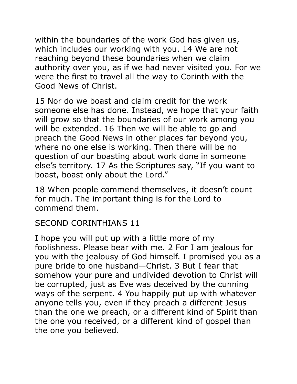within the boundaries of the work God has given us, which includes our working with you. 14 We are not reaching beyond these boundaries when we claim authority over you, as if we had never visited you. For we were the first to travel all the way to Corinth with the Good News of Christ.

15 Nor do we boast and claim credit for the work someone else has done. Instead, we hope that your faith will grow so that the boundaries of our work among you will be extended. 16 Then we will be able to go and preach the Good News in other places far beyond you, where no one else is working. Then there will be no question of our boasting about work done in someone else's territory. 17 As the Scriptures say, "If you want to boast, boast only about the Lord."

18 When people commend themselves, it doesn't count for much. The important thing is for the Lord to commend them.

### SECOND CORINTHIANS 11

I hope you will put up with a little more of my foolishness. Please bear with me. 2 For I am jealous for you with the jealousy of God himself. I promised you as a pure bride to one husband—Christ. 3 But I fear that somehow your pure and undivided devotion to Christ will be corrupted, just as Eve was deceived by the cunning ways of the serpent. 4 You happily put up with whatever anyone tells you, even if they preach a different Jesus than the one we preach, or a different kind of Spirit than the one you received, or a different kind of gospel than the one you believed.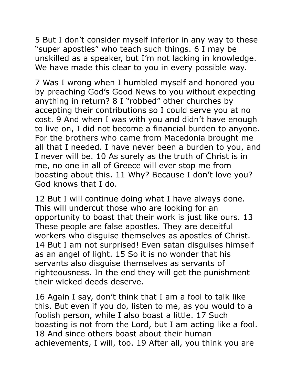5 But I don't consider myself inferior in any way to these "super apostles" who teach such things. 6 I may be unskilled as a speaker, but I'm not lacking in knowledge. We have made this clear to you in every possible way.

7 Was I wrong when I humbled myself and honored you by preaching God's Good News to you without expecting anything in return? 8 I "robbed" other churches by accepting their contributions so I could serve you at no cost. 9 And when I was with you and didn't have enough to live on, I did not become a financial burden to anyone. For the brothers who came from Macedonia brought me all that I needed. I have never been a burden to you, and I never will be. 10 As surely as the truth of Christ is in me, no one in all of Greece will ever stop me from boasting about this. 11 Why? Because I don't love you? God knows that I do.

12 But I will continue doing what I have always done. This will undercut those who are looking for an opportunity to boast that their work is just like ours. 13 These people are false apostles. They are deceitful workers who disguise themselves as apostles of Christ. 14 But I am not surprised! Even satan disquises himself as an angel of light. 15 So it is no wonder that his servants also disguise themselves as servants of righteousness. In the end they will get the punishment their wicked deeds deserve.

16 Again I say, don't think that I am a fool to talk like this. But even if you do, listen to me, as you would to a foolish person, while I also boast a little. 17 Such boasting is not from the Lord, but I am acting like a fool. 18 And since others boast about their human achievements, I will, too. 19 After all, you think you are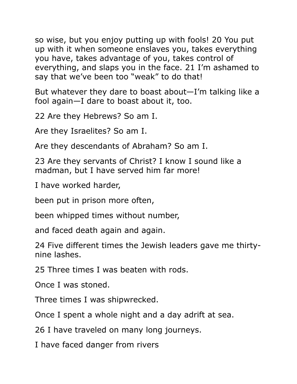so wise, but you enjoy putting up with fools! 20 You put up with it when someone enslaves you, takes everything you have, takes advantage of you, takes control of everything, and slaps you in the face. 21 I'm ashamed to say that we've been too "weak" to do that!

But whatever they dare to boast about—I'm talking like a fool again—I dare to boast about it, too.

22 Are they Hebrews? So am I.

Are they Israelites? So am I.

Are they descendants of Abraham? So am I.

23 Are they servants of Christ? I know I sound like a madman, but I have served him far more!

I have worked harder,

been put in prison more often,

been whipped times without number,

and faced death again and again.

24 Five different times the Jewish leaders gave me thirtynine lashes.

25 Three times I was beaten with rods.

Once I was stoned.

Three times I was shipwrecked.

Once I spent a whole night and a day adrift at sea.

26 I have traveled on many long journeys.

I have faced danger from rivers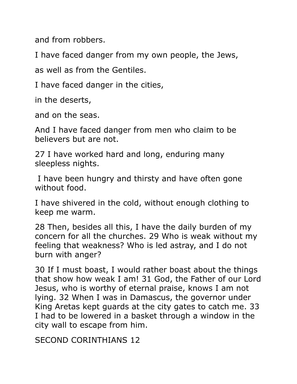and from robbers.

I have faced danger from my own people, the Jews,

as well as from the Gentiles.

I have faced danger in the cities,

in the deserts,

and on the seas.

And I have faced danger from men who claim to be believers but are not.

27 I have worked hard and long, enduring many sleepless nights.

 I have been hungry and thirsty and have often gone without food.

I have shivered in the cold, without enough clothing to keep me warm.

28 Then, besides all this, I have the daily burden of my concern for all the churches. 29 Who is weak without my feeling that weakness? Who is led astray, and I do not burn with anger?

30 If I must boast, I would rather boast about the things that show how weak I am! 31 God, the Father of our Lord Jesus, who is worthy of eternal praise, knows I am not lying. 32 When I was in Damascus, the governor under King Aretas kept guards at the city gates to catch me. 33 I had to be lowered in a basket through a window in the city wall to escape from him.

SECOND CORINTHIANS 12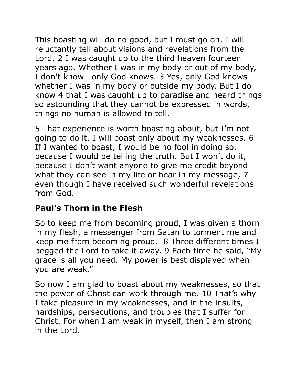This boasting will do no good, but I must go on. I will reluctantly tell about visions and revelations from the Lord. 2 I was caught up to the third heaven fourteen years ago. Whether I was in my body or out of my body, I don't know—only God knows. 3 Yes, only God knows whether I was in my body or outside my body. But I do know 4 that I was caught up to paradise and heard things so astounding that they cannot be expressed in words, things no human is allowed to tell.

5 That experience is worth boasting about, but I'm not going to do it. I will boast only about my weaknesses. 6 If I wanted to boast, I would be no fool in doing so, because I would be telling the truth. But I won't do it, because I don't want anyone to give me credit beyond what they can see in my life or hear in my message, 7 even though I have received such wonderful revelations from God.

# **Paul's Thorn in the Flesh**

So to keep me from becoming proud, I was given a thorn in my flesh, a messenger from Satan to torment me and keep me from becoming proud. 8 Three different times I begged the Lord to take it away. 9 Each time he said, "My grace is all you need. My power is best displayed when you are weak."

So now I am glad to boast about my weaknesses, so that the power of Christ can work through me. 10 That's why I take pleasure in my weaknesses, and in the insults, hardships, persecutions, and troubles that I suffer for Christ. For when I am weak in myself, then I am strong in the Lord.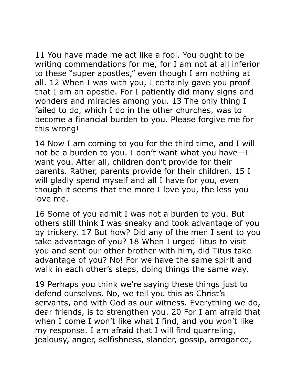11 You have made me act like a fool. You ought to be writing commendations for me, for I am not at all inferior to these "super apostles," even though I am nothing at all. 12 When I was with you, I certainly gave you proof that I am an apostle. For I patiently did many signs and wonders and miracles among you. 13 The only thing I failed to do, which I do in the other churches, was to become a financial burden to you. Please forgive me for this wrong!

14 Now I am coming to you for the third time, and I will not be a burden to you. I don't want what you have—I want you. After all, children don't provide for their parents. Rather, parents provide for their children. 15 I will gladly spend myself and all I have for you, even though it seems that the more I love you, the less you love me.

16 Some of you admit I was not a burden to you. But others still think I was sneaky and took advantage of you by trickery. 17 But how? Did any of the men I sent to you take advantage of you? 18 When I urged Titus to visit you and sent our other brother with him, did Titus take advantage of you? No! For we have the same spirit and walk in each other's steps, doing things the same way.

19 Perhaps you think we're saying these things just to defend ourselves. No, we tell you this as Christ's servants, and with God as our witness. Everything we do, dear friends, is to strengthen you. 20 For I am afraid that when I come I won't like what I find, and you won't like my response. I am afraid that I will find quarreling, jealousy, anger, selfishness, slander, gossip, arrogance,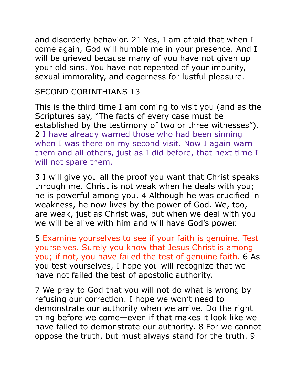and disorderly behavior. 21 Yes, I am afraid that when I come again, God will humble me in your presence. And I will be grieved because many of you have not given up your old sins. You have not repented of your impurity, sexual immorality, and eagerness for lustful pleasure.

### SECOND CORINTHIANS 13

This is the third time I am coming to visit you (and as the Scriptures say, "The facts of every case must be established by the testimony of two or three witnesses"). 2 I have already warned those who had been sinning when I was there on my second visit. Now I again warn them and all others, just as I did before, that next time I will not spare them.

3 I will give you all the proof you want that Christ speaks through me. Christ is not weak when he deals with you; he is powerful among you. 4 Although he was crucified in weakness, he now lives by the power of God. We, too, are weak, just as Christ was, but when we deal with you we will be alive with him and will have God's power.

5 Examine yourselves to see if your faith is genuine. Test yourselves. Surely you know that Jesus Christ is among you; if not, you have failed the test of genuine faith. 6 As you test yourselves, I hope you will recognize that we have not failed the test of apostolic authority.

7 We pray to God that you will not do what is wrong by refusing our correction. I hope we won't need to demonstrate our authority when we arrive. Do the right thing before we come—even if that makes it look like we have failed to demonstrate our authority. 8 For we cannot oppose the truth, but must always stand for the truth. 9